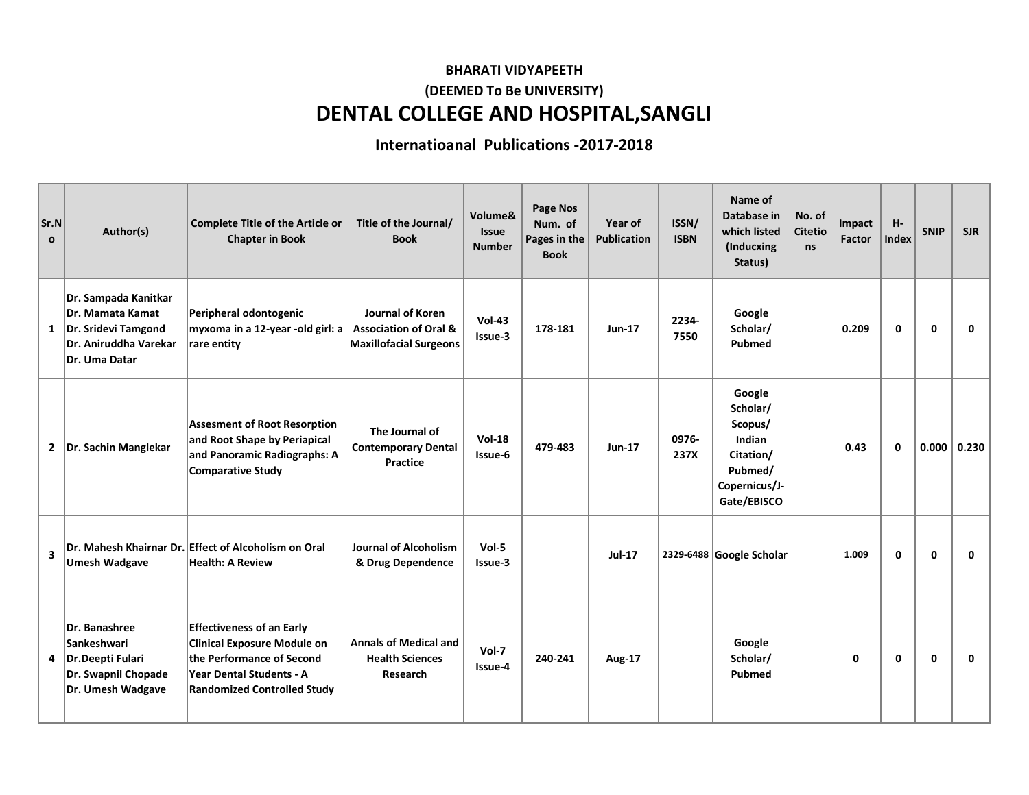## **DENTAL COLLEGE AND HOSPITAL,SANGLI BHARATI VIDYAPEETH (DEEMED To Be UNIVERSITY)**

## **Internatioanal Publications -2017-2018**

| Sr.N<br>$\mathbf{o}$    | Author(s)                                                                                                        | <b>Complete Title of the Article or</b><br><b>Chapter in Book</b>                                                                                                     | Title of the Journal/<br><b>Book</b>                                                  | Volume&<br><b>Issue</b><br><b>Number</b> | Page Nos<br>Num. of<br>Pages in the<br><b>Book</b> | Year of<br><b>Publication</b> | ISSN/<br><b>ISBN</b> | Name of<br>Database in<br>which listed<br>(Inducxing<br>Status)                                 | No. of<br><b>Citetio</b><br><b>ns</b> | Impact<br>Factor | $H -$<br>Index | <b>SNIP</b>  | <b>SJR</b> |
|-------------------------|------------------------------------------------------------------------------------------------------------------|-----------------------------------------------------------------------------------------------------------------------------------------------------------------------|---------------------------------------------------------------------------------------|------------------------------------------|----------------------------------------------------|-------------------------------|----------------------|-------------------------------------------------------------------------------------------------|---------------------------------------|------------------|----------------|--------------|------------|
| 1                       | Dr. Sampada Kanitkar<br>Dr. Mamata Kamat<br>Dr. Sridevi Tamgond<br>Dr. Aniruddha Varekar<br><b>Dr. Uma Datar</b> | Peripheral odontogenic<br>myxoma in a 12-year -old girl: a<br>rare entity                                                                                             | Journal of Koren<br><b>Association of Oral &amp;</b><br><b>Maxillofacial Surgeons</b> | $Vol-43$<br>Issue-3                      | 178-181                                            | <b>Jun-17</b>                 | 2234-<br>7550        | Google<br>Scholar/<br>Pubmed                                                                    |                                       | 0.209            | 0              | $\mathbf 0$  | 0          |
|                         | 2   Dr. Sachin Manglekar                                                                                         | <b>Assesment of Root Resorption</b><br>and Root Shape by Periapical<br>and Panoramic Radiographs: A<br><b>Comparative Study</b>                                       | The Journal of<br><b>Contemporary Dental</b><br>Practice                              | <b>Vol-18</b><br>Issue-6                 | 479-483                                            | <b>Jun-17</b>                 | 0976-<br>237X        | Google<br>Scholar/<br>Scopus/<br>Indian<br>Citation/<br>Pubmed/<br>Copernicus/J-<br>Gate/EBISCO |                                       | 0.43             | $\mathbf{0}$   | 0.000        | 0.230      |
| $\overline{\mathbf{3}}$ | <b>Umesh Wadgave</b>                                                                                             | Dr. Mahesh Khairnar Dr. Effect of Alcoholism on Oral<br><b>Health: A Review</b>                                                                                       | <b>Journal of Alcoholism</b><br>& Drug Dependence                                     | $Vol-5$<br>Issue-3                       |                                                    | <b>Jul-17</b>                 |                      | 2329-6488 Google Scholar                                                                        |                                       | 1.009            | 0              | $\mathbf 0$  | 0          |
| 4                       | Dr. Banashree<br><b>Sankeshwari</b><br>Dr.Deepti Fulari<br>Dr. Swapnil Chopade<br>Dr. Umesh Wadgave              | <b>Effectiveness of an Early</b><br><b>Clinical Exposure Module on</b><br>the Performance of Second<br>Year Dental Students - A<br><b>Randomized Controlled Study</b> | <b>Annals of Medical and</b><br><b>Health Sciences</b><br>Research                    | $Vol-7$<br>Issue-4                       | 240-241                                            | <b>Aug-17</b>                 |                      | Google<br>Scholar/<br>Pubmed                                                                    |                                       | 0                | $\mathbf{0}$   | $\mathbf{0}$ | 0          |